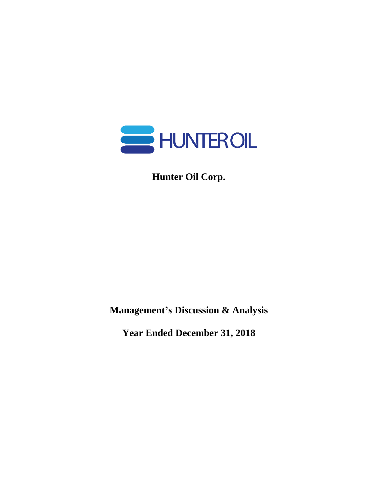

**Hunter Oil Corp.**

**Management's Discussion & Analysis**

**Year Ended December 31, 2018**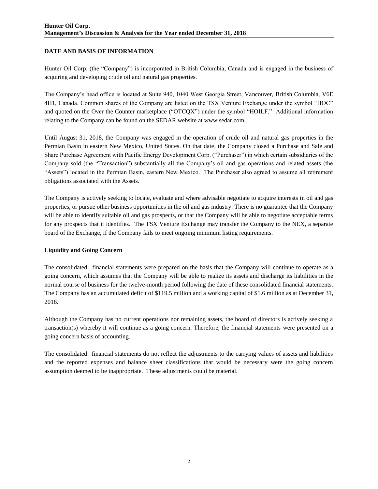## **DATE AND BASIS OF INFORMATION**

Hunter Oil Corp. (the "Company") is incorporated in British Columbia, Canada and is engaged in the business of acquiring and developing crude oil and natural gas properties.

The Company's head office is located at Suite 940, 1040 West Georgia Street, Vancouver, British Columbia, V6E 4H1, Canada. Common shares of the Company are listed on the TSX Venture Exchange under the symbol "HOC" and quoted on the Over the Counter marketplace ("OTCQX") under the symbol "HOILF." Additional information relating to the Company can be found on the SEDAR website at www.sedar.com.

Until August 31, 2018, the Company was engaged in the operation of crude oil and natural gas properties in the Permian Basin in eastern New Mexico, United States. On that date, the Company closed a Purchase and Sale and Share Purchase Agreement with Pacific Energy Development Corp. ("Purchaser") in which certain subsidiaries of the Company sold (the "Transaction") substantially all the Company's oil and gas operations and related assets (the "Assets") located in the Permian Basin, eastern New Mexico. The Purchaser also agreed to assume all retirement obligations associated with the Assets.

The Company is actively seeking to locate, evaluate and where advisable negotiate to acquire interests in oil and gas properties, or pursue other business opportunities in the oil and gas industry. There is no guarantee that the Company will be able to identify suitable oil and gas prospects, or that the Company will be able to negotiate acceptable terms for any prospects that it identifies. The TSX Venture Exchange may transfer the Company to the NEX, a separate board of the Exchange, if the Company fails to meet ongoing minimum listing requirements.

## **Liquidity and Going Concern**

The consolidated financial statements were prepared on the basis that the Company will continue to operate as a going concern, which assumes that the Company will be able to realize its assets and discharge its liabilities in the normal course of business for the twelve-month period following the date of these consolidated financial statements. The Company has an accumulated deficit of \$119.5 million and a working capital of \$1.6 million as at December 31, 2018.

Although the Company has no current operations nor remaining assets, the board of directors is actively seeking a transaction(s) whereby it will continue as a going concern. Therefore, the financial statements were presented on a going concern basis of accounting.

The consolidated financial statements do not reflect the adjustments to the carrying values of assets and liabilities and the reported expenses and balance sheet classifications that would be necessary were the going concern assumption deemed to be inappropriate. These adjustments could be material.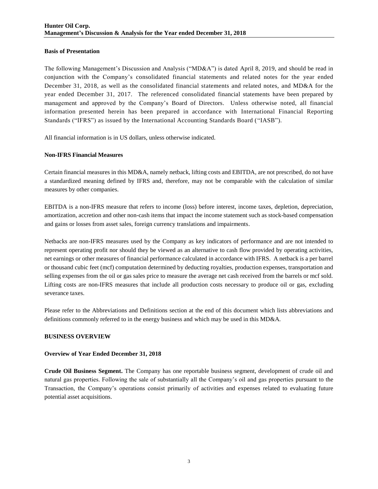## **Basis of Presentation**

The following Management's Discussion and Analysis ("MD&A") is dated April 8, 2019, and should be read in conjunction with the Company's consolidated financial statements and related notes for the year ended December 31, 2018, as well as the consolidated financial statements and related notes, and MD&A for the year ended December 31, 2017. The referenced consolidated financial statements have been prepared by management and approved by the Company's Board of Directors. Unless otherwise noted, all financial information presented herein has been prepared in accordance with International Financial Reporting Standards ("IFRS") as issued by the International Accounting Standards Board ("IASB").

All financial information is in US dollars, unless otherwise indicated.

## **Non-IFRS Financial Measures**

Certain financial measures in this MD&A, namely netback, lifting costs and EBITDA, are not prescribed, do not have a standardized meaning defined by IFRS and, therefore, may not be comparable with the calculation of similar measures by other companies.

EBITDA is a non-IFRS measure that refers to income (loss) before interest, income taxes, depletion, depreciation, amortization, accretion and other non-cash items that impact the income statement such as stock-based compensation and gains or losses from asset sales, foreign currency translations and impairments.

Netbacks are non-IFRS measures used by the Company as key indicators of performance and are not intended to represent operating profit nor should they be viewed as an alternative to cash flow provided by operating activities, net earnings or other measures of financial performance calculated in accordance with IFRS. A netback is a per barrel or thousand cubic feet (mcf) computation determined by deducting royalties, production expenses, transportation and selling expenses from the oil or gas sales price to measure the average net cash received from the barrels or mcf sold. Lifting costs are non-IFRS measures that include all production costs necessary to produce oil or gas, excluding severance taxes.

Please refer to the Abbreviations and Definitions section at the end of this document which lists abbreviations and definitions commonly referred to in the energy business and which may be used in this MD&A.

## **BUSINESS OVERVIEW**

## **Overview of Year Ended December 31, 2018**

**Crude Oil Business Segment.** The Company has one reportable business segment, development of crude oil and natural gas properties. Following the sale of substantially all the Company's oil and gas properties pursuant to the Transaction, the Company's operations consist primarily of activities and expenses related to evaluating future potential asset acquisitions.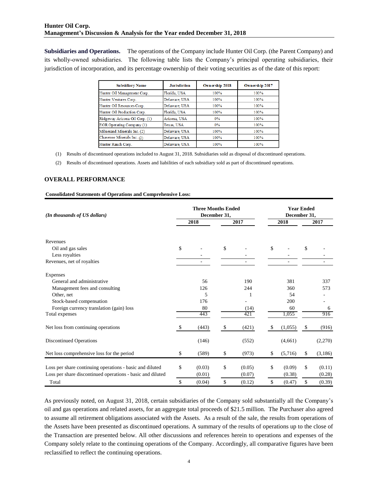**Subsidiaries and Operations.** The operations of the Company include Hunter Oil Corp. (the Parent Company) and its wholly-owned subsidiaries. The following table lists the Company's principal operating subsidiaries, their jurisdiction of incorporation, and its percentage ownership of their voting securities as of the date of this report:

| <b>Subsidiary Name</b>         | <b>Jurisdiction</b> | <b>Ownership 2018</b> | Ownership 2017 |
|--------------------------------|---------------------|-----------------------|----------------|
| Hunter Oil Management Corp.    | Florida, USA        | 100%                  | 100%           |
| Hunter Ventures Corp.          | Delaware, USA       | 100%                  | 100%           |
| Hunter Oil Resources Corp.     | Delaware, USA       | 100%                  | 100%           |
| Hunter Oil Production Corp.    | Florida, USA        | 100%                  | 100%           |
| Ridgeway Arizona Oil Corp. (1) | Arizona USA         | $0\%$                 | 100%           |
| EOR Operating Company (1)      | Texas, USA          | $0\%$                 | 100%           |
| Milnesand Minerals Inc. (2)    | Delaware, USA       | 100%                  | 100%           |
| Chaveroo Minerals Inc. (2)     | Delaware, USA       | 100%                  | 100%           |
| Hunter Ranch Corp.             | Delaware, USA       | 100%                  | 100%           |

(1) Results of discontinued operations included to August 31, 2018. Subsidiaries sold as disposal of discontinued operations.

(2) Results of discontinued operations. Assets and liabilities of each subsidiary sold as part of discontinued operations.

#### **OVERALL PERFORMANCE**

#### **Consolidated Statements of Operations and Comprehensive Loss:**

| (In thousands of US dollars)                                                                                                                                                                                                                                                                                                                                                                                                                                                                                                                                                                                                                                                                                                                                                                      | <b>Three Months Ended</b> | December 31, | <b>Year Ended</b><br>December 31, |    |         |    |         |  |  |
|---------------------------------------------------------------------------------------------------------------------------------------------------------------------------------------------------------------------------------------------------------------------------------------------------------------------------------------------------------------------------------------------------------------------------------------------------------------------------------------------------------------------------------------------------------------------------------------------------------------------------------------------------------------------------------------------------------------------------------------------------------------------------------------------------|---------------------------|--------------|-----------------------------------|----|---------|----|---------|--|--|
|                                                                                                                                                                                                                                                                                                                                                                                                                                                                                                                                                                                                                                                                                                                                                                                                   | 2018                      |              | 2017                              |    | 2018    |    | 2017    |  |  |
| Revenues                                                                                                                                                                                                                                                                                                                                                                                                                                                                                                                                                                                                                                                                                                                                                                                          |                           |              |                                   |    |         |    |         |  |  |
| Oil and gas sales                                                                                                                                                                                                                                                                                                                                                                                                                                                                                                                                                                                                                                                                                                                                                                                 | \$                        | \$           |                                   | \$ |         | \$ |         |  |  |
| Less royalties                                                                                                                                                                                                                                                                                                                                                                                                                                                                                                                                                                                                                                                                                                                                                                                    |                           |              |                                   |    |         |    |         |  |  |
| Revenues, net of royalties                                                                                                                                                                                                                                                                                                                                                                                                                                                                                                                                                                                                                                                                                                                                                                        |                           |              |                                   |    |         |    |         |  |  |
| Expenses                                                                                                                                                                                                                                                                                                                                                                                                                                                                                                                                                                                                                                                                                                                                                                                          |                           |              |                                   |    |         |    |         |  |  |
| General and administrative                                                                                                                                                                                                                                                                                                                                                                                                                                                                                                                                                                                                                                                                                                                                                                        | 56                        |              | 190                               |    | 381     |    | 337     |  |  |
| Management fees and consulting                                                                                                                                                                                                                                                                                                                                                                                                                                                                                                                                                                                                                                                                                                                                                                    | 126                       |              | 244                               |    | 360     |    | 573     |  |  |
| Other, net                                                                                                                                                                                                                                                                                                                                                                                                                                                                                                                                                                                                                                                                                                                                                                                        | 5                         |              | 1                                 |    | 54      |    |         |  |  |
| Stock-based compensation                                                                                                                                                                                                                                                                                                                                                                                                                                                                                                                                                                                                                                                                                                                                                                          | 176                       |              |                                   |    | 200     |    |         |  |  |
| Foreign currency translation (gain) loss                                                                                                                                                                                                                                                                                                                                                                                                                                                                                                                                                                                                                                                                                                                                                          | 80                        |              | (14)                              |    | 60      |    | 6       |  |  |
| Total expenses                                                                                                                                                                                                                                                                                                                                                                                                                                                                                                                                                                                                                                                                                                                                                                                    | 443                       |              | 421                               |    | 1,055   |    | 916     |  |  |
| Net loss from continuing operations                                                                                                                                                                                                                                                                                                                                                                                                                                                                                                                                                                                                                                                                                                                                                               | \$<br>(443)               | \$           | (421)                             | S  | (1,055) | \$ | (916)   |  |  |
| <b>Discontinued Operations</b>                                                                                                                                                                                                                                                                                                                                                                                                                                                                                                                                                                                                                                                                                                                                                                    | (146)                     |              | (552)                             |    | (4,661) |    | (2,270) |  |  |
| Net loss comprehensive loss for the period                                                                                                                                                                                                                                                                                                                                                                                                                                                                                                                                                                                                                                                                                                                                                        | \$<br>(589)               | \$           | (973)                             | \$ | (5,716) | \$ | (3,186) |  |  |
| Loss per share continuing operations - basic and diluted                                                                                                                                                                                                                                                                                                                                                                                                                                                                                                                                                                                                                                                                                                                                          | \$<br>(0.03)              | \$           | (0.05)                            | \$ | (0.09)  | \$ | (0.11)  |  |  |
| Loss per share discontinued operations - basic and diluted                                                                                                                                                                                                                                                                                                                                                                                                                                                                                                                                                                                                                                                                                                                                        | (0.01)                    |              | (0.07)                            |    | (0.38)  |    | (0.28)  |  |  |
| Total                                                                                                                                                                                                                                                                                                                                                                                                                                                                                                                                                                                                                                                                                                                                                                                             | \$<br>(0.04)              | \$           | (0.12)                            | \$ | (0.47)  | \$ | (0.39)  |  |  |
| As previously noted, on August 31, 2018, certain subsidiaries of the Company sold substantially all the Company's<br>oil and gas operations and related assets, for an aggregate total proceeds of \$21.5 million. The Purchaser also agreed<br>to assume all retirement obligations associated with the Assets. As a result of the sale, the results from operations of<br>the Assets have been presented as discontinued operations. A summary of the results of operations up to the close of<br>the Transaction are presented below. All other discussions and references herein to operations and expenses of the<br>Company solely relate to the continuing operations of the Company. Accordingly, all comparative figures have been<br>reclassified to reflect the continuing operations. |                           |              |                                   |    |         |    |         |  |  |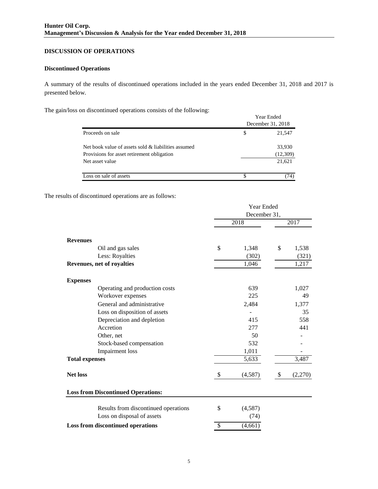# **DISCUSSION OF OPERATIONS**

## **Discontinued Operations**

A summary of the results of discontinued operations included in the years ended December 31, 2018 and 2017 is presented below.

The gain/loss on discontinued operations consists of the following:

|                                                     | Year Ended<br>December 31, 2018 |  |  |  |  |  |
|-----------------------------------------------------|---------------------------------|--|--|--|--|--|
| Proceeds on sale                                    | \$<br>21,547                    |  |  |  |  |  |
| Net book value of assets sold & liabilities assumed | 33,930                          |  |  |  |  |  |
| Provisions for asset retirement obligation          | (12,309)                        |  |  |  |  |  |
| Net asset value                                     | 21,621                          |  |  |  |  |  |
| Loss on sale of assets                              | 74)                             |  |  |  |  |  |

The results of discontinued operations are as follows:

|                                           | Year Ended |         |      |         |  |
|-------------------------------------------|------------|---------|------|---------|--|
|                                           |            |         |      |         |  |
|                                           |            | 2018    | 2017 |         |  |
| <b>Revenues</b>                           |            |         |      |         |  |
| Oil and gas sales                         | \$         | 1,348   | \$   | 1,538   |  |
| Less: Royalties                           |            | (302)   |      | (321)   |  |
| Revenues, net of royalties                |            | 1,046   |      | 1,217   |  |
| <b>Expenses</b>                           |            |         |      |         |  |
| Operating and production costs            |            | 639     |      | 1,027   |  |
| Workover expenses                         |            | 225     |      | 49      |  |
| General and administrative                |            | 2,484   |      | 1,377   |  |
| Loss on disposition of assets             |            |         |      | 35      |  |
| Depreciation and depletion                |            | 415     |      | 558     |  |
| Accretion                                 |            | 277     |      | 441     |  |
| Other, net                                |            | 50      |      |         |  |
| Stock-based compensation                  |            | 532     |      |         |  |
| <b>Impairment</b> loss                    |            | 1,011   |      |         |  |
| <b>Total expenses</b>                     |            | 5,633   |      | 3,487   |  |
| <b>Net loss</b>                           | \$         | (4,587) | \$   | (2,270) |  |
| <b>Loss from Discontinued Operations:</b> |            |         |      |         |  |
| Results from discontinued operations      | \$         | (4,587) |      |         |  |
| Loss on disposal of assets                |            | (74)    |      |         |  |
| Loss from discontinued operations         | \$         | (4,661) |      |         |  |
|                                           |            |         |      |         |  |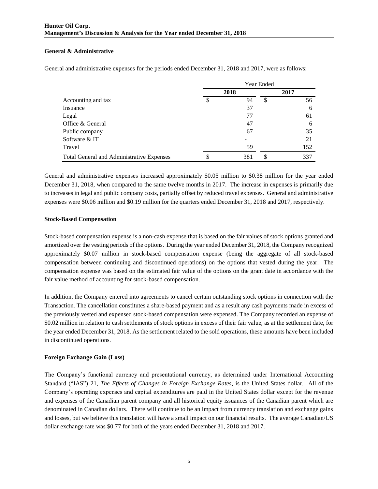## **General & Administrative**

|                                           | Year Ended |      |      |     |  |  |
|-------------------------------------------|------------|------|------|-----|--|--|
|                                           |            | 2018 | 2017 |     |  |  |
| Accounting and tax                        |            | 94   | \$   | 56  |  |  |
| Insuance                                  |            | 37   |      | 6   |  |  |
| Legal                                     |            | 77   |      | 61  |  |  |
| Office & General                          |            | 47   |      | 6   |  |  |
| Public company                            |            | 67   |      | 35  |  |  |
| Software & IT                             |            | -    |      | 21  |  |  |
| Travel                                    |            | 59   |      | 152 |  |  |
| Total General and Administrative Expenses | ◡          | 381  | \$   | 337 |  |  |

General and administrative expenses for the periods ended December 31, 2018 and 2017, were as follows:

General and administrative expenses increased approximately \$0.05 million to \$0.38 million for the year ended December 31, 2018, when compared to the same twelve months in 2017. The increase in expenses is primarily due to increases in legal and public company costs, partially offset by reduced travel expenses. General and administrative expenses were \$0.06 million and \$0.19 million for the quarters ended December 31, 2018 and 2017, respectively.

## **Stock-Based Compensation**

Stock-based compensation expense is a non-cash expense that is based on the fair values of stock options granted and amortized over the vesting periods of the options. During the year ended December 31, 2018, the Company recognized approximately \$0.07 million in stock-based compensation expense (being the aggregate of all stock-based compensation between continuing and discontinued operations) on the options that vested during the year. The compensation expense was based on the estimated fair value of the options on the grant date in accordance with the fair value method of accounting for stock-based compensation.

In addition, the Company entered into agreements to cancel certain outstanding stock options in connection with the Transaction. The cancellation constitutes a share-based payment and as a result any cash payments made in excess of the previously vested and expensed stock-based compensation were expensed. The Company recorded an expense of \$0.02 million in relation to cash settlements of stock options in excess of their fair value, as at the settlement date, for the year ended December 31, 2018. As the settlement related to the sold operations, these amounts have been included in discontinued operations.

## **Foreign Exchange Gain (Loss)**

The Company's functional currency and presentational currency, as determined under International Accounting Standard ("IAS") 21, *The Effects of Changes in Foreign Exchange Rates*, is the United States dollar. All of the Company's operating expenses and capital expenditures are paid in the United States dollar except for the revenue and expenses of the Canadian parent company and all historical equity issuances of the Canadian parent which are denominated in Canadian dollars. There will continue to be an impact from currency translation and exchange gains and losses, but we believe this translation will have a small impact on our financial results. The average Canadian/US dollar exchange rate was \$0.77 for both of the years ended December 31, 2018 and 2017.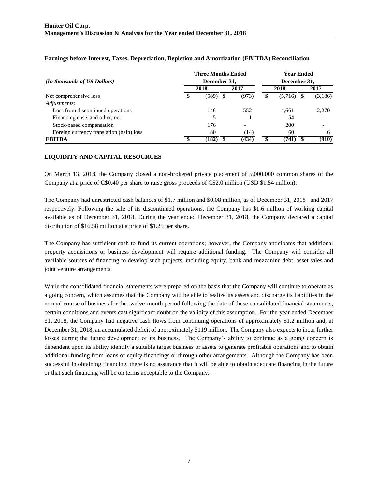|                                          |              | <b>Three Months Ended</b> |  | <b>Year Ended</b>        |  |              |  |         |  |  |
|------------------------------------------|--------------|---------------------------|--|--------------------------|--|--------------|--|---------|--|--|
| (In thousands of US Dollars)             | December 31, |                           |  |                          |  | December 31, |  |         |  |  |
|                                          |              | 2018                      |  | 2017                     |  | 2018         |  | 2017    |  |  |
| Net comprehensive loss                   |              | (589).                    |  | (973)                    |  | (5,716)      |  | (3,186) |  |  |
| Adjustments:                             |              |                           |  |                          |  |              |  |         |  |  |
| Loss from discontinued operations        |              | 146                       |  | 552                      |  | 4.661        |  | 2,270   |  |  |
| Financing costs and other, net           |              |                           |  |                          |  | 54           |  |         |  |  |
| Stock-based compensation                 |              | 176                       |  | $\overline{\phantom{0}}$ |  | 200          |  |         |  |  |
| Foreign currency translation (gain) loss |              | 80                        |  | (14)                     |  | 60           |  |         |  |  |
| <b>EBITDA</b>                            |              | (182)                     |  | (434)                    |  | (741)        |  | (910)   |  |  |

## **Earnings before Interest, Taxes, Depreciation, Depletion and Amortization (EBITDA) Reconciliation**

## **LIQUIDITY AND CAPITAL RESOURCES**

On March 13, 2018, the Company closed a non-brokered private placement of 5,000,000 common shares of the Company at a price of C\$0.40 per share to raise gross proceeds of C\$2.0 million (USD \$1.54 million).

The Company had unrestricted cash balances of \$1.7 million and \$0.08 million, as of December 31, 2018 and 2017 respectively. Following the sale of its discontinued operations, the Company has \$1.6 million of working capital available as of December 31, 2018. During the year ended December 31, 2018, the Company declared a capital distribution of \$16.58 million at a price of \$1.25 per share.

The Company has sufficient cash to fund its current operations; however, the Company anticipates that additional property acquisitions or business development will require additional funding. The Company will consider all available sources of financing to develop such projects, including equity, bank and mezzanine debt, asset sales and joint venture arrangements.

While the consolidated financial statements were prepared on the basis that the Company will continue to operate as a going concern, which assumes that the Company will be able to realize its assets and discharge its liabilities in the normal course of business for the twelve-month period following the date of these consolidated financial statements, certain conditions and events cast significant doubt on the validity of this assumption. For the year ended December 31, 2018, the Company had negative cash flows from continuing operations of approximately \$1.2 million and, at December 31, 2018, an accumulated deficit of approximately \$119 million. The Company also expects to incur further losses during the future development of its business. The Company's ability to continue as a going concern is dependent upon its ability identify a suitable target business or assets to generate profitable operations and to obtain additional funding from loans or equity financings or through other arrangements. Although the Company has been successful in obtaining financing, there is no assurance that it will be able to obtain adequate financing in the future or that such financing will be on terms acceptable to the Company.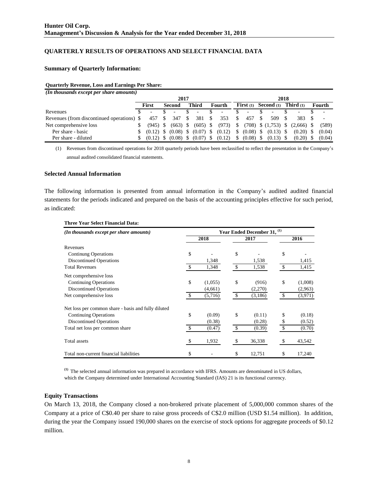## **QUARTERLY RESULTS OF OPERATIONS AND SELECT FINANCIAL DATA**

#### **Summary of Quarterly Information:**

#### **Quarterly Revenue, Loss and Earnings Per Share:**

| (In thousands except per share amounts)    |      |                          |  |                                     |   |                          |      |                          |              |                    |  |                          |  |                    |  |                          |
|--------------------------------------------|------|--------------------------|--|-------------------------------------|---|--------------------------|------|--------------------------|--------------|--------------------|--|--------------------------|--|--------------------|--|--------------------------|
|                                            | 2017 |                          |  |                                     |   |                          | 2018 |                          |              |                    |  |                          |  |                    |  |                          |
|                                            |      | First                    |  | Second                              |   | <b>Third</b>             |      | Fourth                   |              | <b>First</b> $(1)$ |  | Second (1)               |  | <b>Third</b> $(1)$ |  | Fourth                   |
| Revenues                                   | ж.   | $\overline{\phantom{a}}$ |  | $\overline{\phantom{a}}$            |   | $\overline{\phantom{a}}$ |      | $\overline{\phantom{a}}$ |              | ۰.                 |  | $\overline{\phantom{0}}$ |  | -                  |  | $\overline{\phantom{0}}$ |
| Revenues (from discontinued operations) \$ |      | 457                      |  | 347                                 | S | 381                      | S    | 353                      |              | 457                |  | 509                      |  | 383.               |  |                          |
| Net comprehensive loss                     | \$   | (945) S                  |  | $(663)$ \$                          |   | $(605)$ \$               |      | (973)                    | \$           |                    |  | $(708)$ \$ $(1,753)$ \$  |  | $(2.666)$ \$       |  | (589)                    |
| Per share - basic                          | \$   |                          |  | $(0.12)$ \$ $(0.08)$ \$ $(0.07)$ \$ |   |                          |      | (0.12)                   | \$           | $(0.08)$ \$        |  | $(0.13)$ \$              |  | $(0.20)$ \$        |  | (0.04)                   |
| Per share - diluted                        | S    | $(0.12)$ S               |  | $(0.08)$ \$                         |   | $(0.07)$ \$              |      | (0.12)                   | <sup>S</sup> | $(0.08)$ \$        |  | $(0.13)$ \$              |  | $(0.20)$ \$        |  | (0.04)                   |

(1) Revenues from discontinued operations for 2018 quarterly periods have been reclassified to reflect the presentation in the Company's annual audited consolidated financial statements.

#### **Selected Annual Information**

The following information is presented from annual information in the Company's audited audited financial statements for the periods indicated and prepared on the basis of the accounting principles effective for such period, as indicated:

| (In thousands except per share amounts)             | Year Ended December 31, <sup>(1)</sup> |         |    |         |      |         |  |  |  |  |
|-----------------------------------------------------|----------------------------------------|---------|----|---------|------|---------|--|--|--|--|
|                                                     |                                        | 2018    |    | 2017    | 2016 |         |  |  |  |  |
| Revenues                                            |                                        |         |    |         |      |         |  |  |  |  |
| <b>Continung Operations</b>                         | \$                                     |         | \$ |         | \$   |         |  |  |  |  |
| <b>Discontinued Operations</b>                      |                                        | 1,348   |    | 1,538   |      | 1,415   |  |  |  |  |
| <b>Total Revenues</b>                               | \$                                     | 1,348   | \$ | 1,538   | \$   | 1,415   |  |  |  |  |
| Net comprehensive loss                              |                                        |         |    |         |      |         |  |  |  |  |
| <b>Continuing Operations</b>                        | \$                                     | (1,055) | \$ | (916)   | \$   | (1,008) |  |  |  |  |
| <b>Discontinued Operations</b>                      |                                        | (4,661) |    | (2,270) |      | (2,963) |  |  |  |  |
| Net comprehensive loss                              | $\mathbb{S}$                           | (5,716) | \$ | (3,186) | \$   | (3,971) |  |  |  |  |
| Net loss per common share - basis and fully diluted |                                        |         |    |         |      |         |  |  |  |  |
| <b>Continuing Operations</b>                        | \$                                     | (0.09)  | \$ | (0.11)  | \$   | (0.18)  |  |  |  |  |
| Discontinued Operations                             |                                        | (0.38)  |    | (0.28)  | S    | (0.52)  |  |  |  |  |
| Total net loss per common share                     | \$                                     | (0.47)  | \$ | (0.39)  | \$   | (0.70)  |  |  |  |  |
| Total assets                                        | \$                                     | 1,932   | \$ | 36,338  | \$   | 43,542  |  |  |  |  |
| Total non-current financial liabilities             | \$                                     |         | \$ | 12,751  | \$   | 17,240  |  |  |  |  |

#### **Three Year Select Financial Data:**

**(1)** The selected annual information was prepared in accordance with IFRS. Amounts are denominated in US dollars, which the Company determined under International Accounting Standard (IAS) 21 is its functional currency.

#### **Equity Transactions**

On March 13, 2018, the Company closed a non-brokered private placement of 5,000,000 common shares of the Company at a price of C\$0.40 per share to raise gross proceeds of C\$2.0 million (USD \$1.54 million). In addition, during the year the Company issued 190,000 shares on the exercise of stock options for aggregate proceeds of \$0.12 million.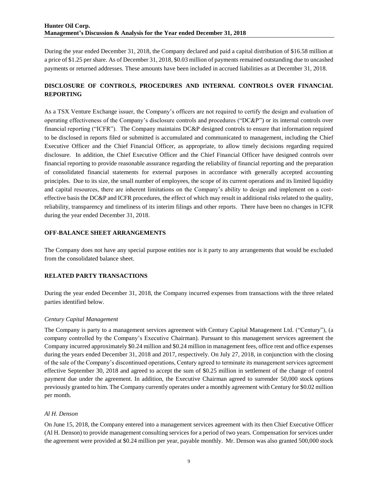During the year ended December 31, 2018, the Company declared and paid a capital distribution of \$16.58 million at a price of \$1.25 per share. As of December 31, 2018, \$0.03 million of payments remained outstanding due to uncashed payments or returned addresses. These amounts have been included in accrued liabilities as at December 31, 2018.

# **DISCLOSURE OF CONTROLS, PROCEDURES AND INTERNAL CONTROLS OVER FINANCIAL REPORTING**

As a TSX Venture Exchange issuer, the Company's officers are not required to certify the design and evaluation of operating effectiveness of the Company's disclosure controls and procedures ("DC&P") or its internal controls over financial reporting ("ICFR"). The Company maintains DC&P designed controls to ensure that information required to be disclosed in reports filed or submitted is accumulated and communicated to management, including the Chief Executive Officer and the Chief Financial Officer, as appropriate, to allow timely decisions regarding required disclosure. In addition, the Chief Executive Officer and the Chief Financial Officer have designed controls over financial reporting to provide reasonable assurance regarding the reliability of financial reporting and the preparation of consolidated financial statements for external purposes in accordance with generally accepted accounting principles. Due to its size, the small number of employees, the scope of its current operations and its limited liquidity and capital resources, there are inherent limitations on the Company's ability to design and implement on a costeffective basis the DC&P and ICFR procedures, the effect of which may result in additional risks related to the quality, reliability, transparency and timeliness of its interim filings and other reports. There have been no changes in ICFR during the year ended December 31, 2018.

## **OFF-BALANCE SHEET ARRANGEMENTS**

The Company does not have any special purpose entities nor is it party to any arrangements that would be excluded from the consolidated balance sheet.

## **RELATED PARTY TRANSACTIONS**

During the year ended December 31, 2018, the Company incurred expenses from transactions with the three related parties identified below.

## *Century Capital Management*

The Company is party to a management services agreement with Century Capital Management Ltd. ("Century"), (a company controlled by the Company's Executive Chairman). Pursuant to this management services agreement the Company incurred approximately \$0.24 million and \$0.24 million in management fees, office rent and office expenses during the years ended December 31, 2018 and 2017, respectively. On July 27, 2018, in conjunction with the closing of the sale of the Company's discontinued operations, Century agreed to terminate its management services agreement effective September 30, 2018 and agreed to accept the sum of \$0.25 million in settlement of the change of control payment due under the agreement. In addition, the Executive Chairman agreed to surrender 50,000 stock options previously granted to him. The Company currently operates under a monthly agreement with Century for \$0.02 million per month.

## *Al H. Denson*

On June 15, 2018, the Company entered into a management services agreement with its then Chief Executive Officer (Al H. Denson) to provide management consulting services for a period of two years. Compensation for services under the agreement were provided at \$0.24 million per year, payable monthly. Mr. Denson was also granted 500,000 stock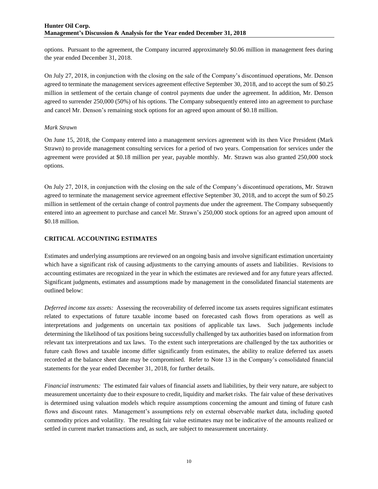options. Pursuant to the agreement, the Company incurred approximately \$0.06 million in management fees during the year ended December 31, 2018.

On July 27, 2018, in conjunction with the closing on the sale of the Company's discontinued operations, Mr. Denson agreed to terminate the management services agreement effective September 30, 2018, and to accept the sum of \$0.25 million in settlement of the certain change of control payments due under the agreement. In addition, Mr. Denson agreed to surrender 250,000 (50%) of his options. The Company subsequently entered into an agreement to purchase and cancel Mr. Denson's remaining stock options for an agreed upon amount of \$0.18 million.

#### *Mark Strawn*

On June 15, 2018, the Company entered into a management services agreement with its then Vice President (Mark Strawn) to provide management consulting services for a period of two years. Compensation for services under the agreement were provided at \$0.18 million per year, payable monthly. Mr. Strawn was also granted 250,000 stock options.

On July 27, 2018, in conjunction with the closing on the sale of the Company's discontinued operations, Mr. Strawn agreed to terminate the management service agreement effective September 30, 2018, and to accept the sum of \$0.25 million in settlement of the certain change of control payments due under the agreement. The Company subsequently entered into an agreement to purchase and cancel Mr. Strawn's 250,000 stock options for an agreed upon amount of \$0.18 million.

## **CRITICAL ACCOUNTING ESTIMATES**

Estimates and underlying assumptions are reviewed on an ongoing basis and involve significant estimation uncertainty which have a significant risk of causing adjustments to the carrying amounts of assets and liabilities. Revisions to accounting estimates are recognized in the year in which the estimates are reviewed and for any future years affected. Significant judgments, estimates and assumptions made by management in the consolidated financial statements are outlined below:

*Deferred income tax assets:* Assessing the recoverability of deferred income tax assets requires significant estimates related to expectations of future taxable income based on forecasted cash flows from operations as well as interpretations and judgements on uncertain tax positions of applicable tax laws. Such judgements include determining the likelihood of tax positions being successfully challenged by tax authorities based on information from relevant tax interpretations and tax laws. To the extent such interpretations are challenged by the tax authorities or future cash flows and taxable income differ significantly from estimates, the ability to realize deferred tax assets recorded at the balance sheet date may be compromised. Refer to Note 13 in the Company's consolidated financial statements for the year ended December 31, 2018, for further details.

*Financial instruments:* The estimated fair values of financial assets and liabilities, by their very nature, are subject to measurement uncertainty due to their exposure to credit, liquidity and market risks. The fair value of these derivatives is determined using valuation models which require assumptions concerning the amount and timing of future cash flows and discount rates. Management's assumptions rely on external observable market data, including quoted commodity prices and volatility. The resulting fair value estimates may not be indicative of the amounts realized or settled in current market transactions and, as such, are subject to measurement uncertainty.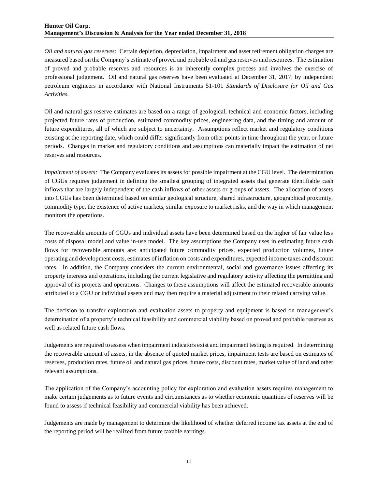## **Hunter Oil Corp. Management's Discussion & Analysis for the Year ended December 31, 2018**

*Oil and natural gas reserves:* Certain depletion, depreciation, impairment and asset retirement obligation charges are measured based on the Company's estimate of proved and probable oil and gas reserves and resources. The estimation of proved and probable reserves and resources is an inherently complex process and involves the exercise of professional judgement. Oil and natural gas reserves have been evaluated at December 31, 2017, by independent petroleum engineers in accordance with National Instruments 51-101 *Standards of Disclosure for Oil and Gas Activities.*

Oil and natural gas reserve estimates are based on a range of geological, technical and economic factors, including projected future rates of production, estimated commodity prices, engineering data, and the timing and amount of future expenditures, all of which are subject to uncertainty. Assumptions reflect market and regulatory conditions existing at the reporting date, which could differ significantly from other points in time throughout the year, or future periods. Changes in market and regulatory conditions and assumptions can materially impact the estimation of net reserves and resources.

*Impairment of assets:* The Company evaluates its assets for possible impairment at the CGU level. The determination of CGUs requires judgement in defining the smallest grouping of integrated assets that generate identifiable cash inflows that are largely independent of the cash inflows of other assets or groups of assets. The allocation of assets into CGUs has been determined based on similar geological structure, shared infrastructure, geographical proximity, commodity type, the existence of active markets, similar exposure to market risks, and the way in which management monitors the operations.

The recoverable amounts of CGUs and individual assets have been determined based on the higher of fair value less costs of disposal model and value in-use model. The key assumptions the Company uses in estimating future cash flows for recoverable amounts are: anticipated future commodity prices, expected production volumes, future operating and development costs, estimates of inflation on costs and expenditures, expected income taxes and discount rates. In addition, the Company considers the current environmental, social and governance issues affecting its property interests and operations, including the current legislative and regulatory activity affecting the permitting and approval of its projects and operations. Changes to these assumptions will affect the estimated recoverable amounts attributed to a CGU or individual assets and may then require a material adjustment to their related carrying value.

The decision to transfer exploration and evaluation assets to property and equipment is based on management's determination of a property's technical feasibility and commercial viability based on proved and probable reserves as well as related future cash flows.

Judgements are required to assess when impairment indicators exist and impairment testing is required. In determining the recoverable amount of assets, in the absence of quoted market prices, impairment tests are based on estimates of reserves, production rates, future oil and natural gas prices, future costs, discount rates, market value of land and other relevant assumptions.

The application of the Company's accounting policy for exploration and evaluation assets requires management to make certain judgements as to future events and circumstances as to whether economic quantities of reserves will be found to assess if technical feasibility and commercial viability has been achieved.

Judgements are made by management to determine the likelihood of whether deferred income tax assets at the end of the reporting period will be realized from future taxable earnings.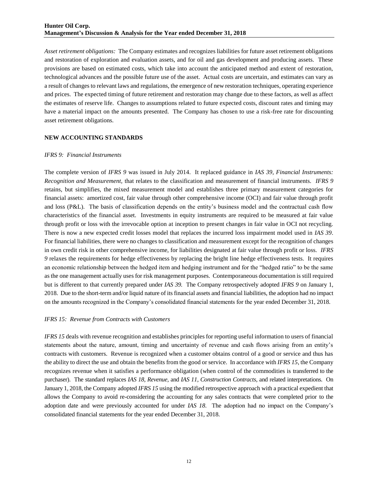*Asset retirement obligations:* The Company estimates and recognizes liabilities for future asset retirement obligations and restoration of exploration and evaluation assets, and for oil and gas development and producing assets. These provisions are based on estimated costs, which take into account the anticipated method and extent of restoration, technological advances and the possible future use of the asset. Actual costs are uncertain, and estimates can vary as a result of changes to relevant laws and regulations, the emergence of new restoration techniques, operating experience and prices. The expected timing of future retirement and restoration may change due to these factors, as well as affect the estimates of reserve life. Changes to assumptions related to future expected costs, discount rates and timing may have a material impact on the amounts presented. The Company has chosen to use a risk-free rate for discounting asset retirement obligations.

#### **NEW ACCOUNTING STANDARDS**

#### *IFRS 9: Financial Instruments*

The complete version of *IFRS 9* was issued in July 2014. It replaced guidance in *IAS 39, Financial Instruments: Recognition and Measurement,* that relates to the classification and measurement of financial instruments. *IFRS 9* retains, but simplifies, the mixed measurement model and establishes three primary measurement categories for financial assets: amortized cost, fair value through other comprehensive income (OCI) and fair value through profit and loss (P&L). The basis of classification depends on the entity's business model and the contractual cash flow characteristics of the financial asset. Investments in equity instruments are required to be measured at fair value through profit or loss with the irrevocable option at inception to present changes in fair value in OCI not recycling. There is now a new expected credit losses model that replaces the incurred loss impairment model used in *IAS 39*. For financial liabilities, there were no changes to classification and measurement except for the recognition of changes in own credit risk in other comprehensive income, for liabilities designated at fair value through profit or loss. *IFRS 9* relaxes the requirements for hedge effectiveness by replacing the bright line hedge effectiveness tests. It requires an economic relationship between the hedged item and hedging instrument and for the "hedged ratio" to be the same as the one management actually uses for risk management purposes. Contemporaneous documentation is still required but is different to that currently prepared under *IAS 39.* The Company retrospectively adopted *IFRS 9* on January 1, 2018. Due to the short-term and/or liquid nature of its financial assets and financial liabilities, the adoption had no impact on the amounts recognized in the Company's consolidated financial statements for the year ended December 31, 2018.

## *IFRS 15: Revenue from Contracts with Customers*

*IFRS 15* deals with revenue recognition and establishes principles for reporting useful information to users of financial statements about the nature, amount, timing and uncertainty of revenue and cash flows arising from an entity's contracts with customers. Revenue is recognized when a customer obtains control of a good or service and thus has the ability to direct the use and obtain the benefits from the good or service. In accordance with *IFRS 15*, the Company recognizes revenue when it satisfies a performance obligation (when control of the commodities is transferred to the purchaser). The standard replaces *IAS 18, Revenue,* and *IAS 11, Construction Contracts,* and related interpretations. On January 1, 2018, the Company adopted *IFRS 15* using the modified retrospective approach with a practical expedient that allows the Company to avoid re-considering the accounting for any sales contracts that were completed prior to the adoption date and were previously accounted for under *IAS 18*. The adoption had no impact on the Company's consolidated financial statements for the year ended December 31, 2018.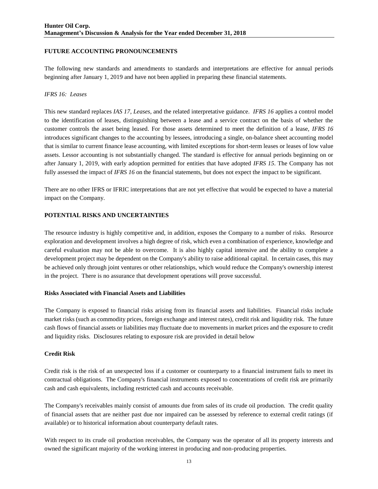## **FUTURE ACCOUNTING PRONOUNCEMENTS**

The following new standards and amendments to standards and interpretations are effective for annual periods beginning after January 1, 2019 and have not been applied in preparing these financial statements.

## *IFRS 16: Leases*

This new standard replaces *IAS 17, Leases,* and the related interpretative guidance. *IFRS 16* applies a control model to the identification of leases, distinguishing between a lease and a service contract on the basis of whether the customer controls the asset being leased. For those assets determined to meet the definition of a lease, *IFRS 16* introduces significant changes to the accounting by lessees, introducing a single, on-balance sheet accounting model that is similar to current finance lease accounting, with limited exceptions for short-term leases or leases of low value assets. Lessor accounting is not substantially changed. The standard is effective for annual periods beginning on or after January 1, 2019, with early adoption permitted for entities that have adopted *IFRS 15*. The Company has not fully assessed the impact of *IFRS 16* on the financial statements, but does not expect the impact to be significant.

There are no other IFRS or IFRIC interpretations that are not yet effective that would be expected to have a material impact on the Company.

## **POTENTIAL RISKS AND UNCERTAINTIES**

The resource industry is highly competitive and, in addition, exposes the Company to a number of risks. Resource exploration and development involves a high degree of risk, which even a combination of experience, knowledge and careful evaluation may not be able to overcome. It is also highly capital intensive and the ability to complete a development project may be dependent on the Company's ability to raise additional capital. In certain cases, this may be achieved only through joint ventures or other relationships, which would reduce the Company's ownership interest in the project. There is no assurance that development operations will prove successful.

## **Risks Associated with Financial Assets and Liabilities**

The Company is exposed to financial risks arising from its financial assets and liabilities. Financial risks include market risks (such as commodity prices, foreign exchange and interest rates), credit risk and liquidity risk. The future cash flows of financial assets or liabilities may fluctuate due to movements in market prices and the exposure to credit and liquidity risks. Disclosures relating to exposure risk are provided in detail below

## **Credit Risk**

Credit risk is the risk of an unexpected loss if a customer or counterparty to a financial instrument fails to meet its contractual obligations. The Company's financial instruments exposed to concentrations of credit risk are primarily cash and cash equivalents, including restricted cash and accounts receivable.

The Company's receivables mainly consist of amounts due from sales of its crude oil production. The credit quality of financial assets that are neither past due nor impaired can be assessed by reference to external credit ratings (if available) or to historical information about counterparty default rates.

With respect to its crude oil production receivables, the Company was the operator of all its property interests and owned the significant majority of the working interest in producing and non-producing properties.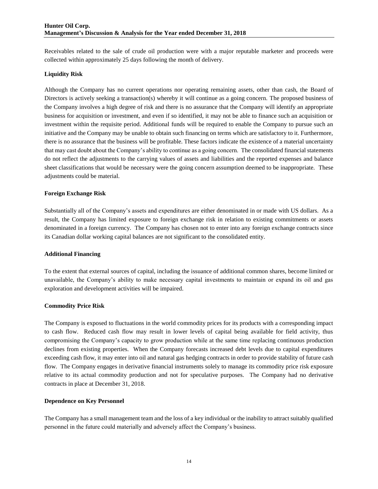Receivables related to the sale of crude oil production were with a major reputable marketer and proceeds were collected within approximately 25 days following the month of delivery.

#### **Liquidity Risk**

Although the Company has no current operations nor operating remaining assets, other than cash, the Board of Directors is actively seeking a transaction(s) whereby it will continue as a going concern. The proposed business of the Company involves a high degree of risk and there is no assurance that the Company will identify an appropriate business for acquisition or investment, and even if so identified, it may not be able to finance such an acquisition or investment within the requisite period. Additional funds will be required to enable the Company to pursue such an initiative and the Company may be unable to obtain such financing on terms which are satisfactory to it. Furthermore, there is no assurance that the business will be profitable. These factors indicate the existence of a material uncertainty that may cast doubt about the Company's ability to continue as a going concern. The consolidated financial statements do not reflect the adjustments to the carrying values of assets and liabilities and the reported expenses and balance sheet classifications that would be necessary were the going concern assumption deemed to be inappropriate. These adjustments could be material.

## **Foreign Exchange Risk**

Substantially all of the Company's assets and expenditures are either denominated in or made with US dollars. As a result, the Company has limited exposure to foreign exchange risk in relation to existing commitments or assets denominated in a foreign currency. The Company has chosen not to enter into any foreign exchange contracts since its Canadian dollar working capital balances are not significant to the consolidated entity.

#### **Additional Financing**

To the extent that external sources of capital, including the issuance of additional common shares, become limited or unavailable, the Company's ability to make necessary capital investments to maintain or expand its oil and gas exploration and development activities will be impaired.

## **Commodity Price Risk**

The Company is exposed to fluctuations in the world commodity prices for its products with a corresponding impact to cash flow. Reduced cash flow may result in lower levels of capital being available for field activity, thus compromising the Company's capacity to grow production while at the same time replacing continuous production declines from existing properties. When the Company forecasts increased debt levels due to capital expenditures exceeding cash flow, it may enter into oil and natural gas hedging contracts in order to provide stability of future cash flow. The Company engages in derivative financial instruments solely to manage its commodity price risk exposure relative to its actual commodity production and not for speculative purposes. The Company had no derivative contracts in place at December 31, 2018.

## **Dependence on Key Personnel**

The Company has a small management team and the loss of a key individual or the inability to attract suitably qualified personnel in the future could materially and adversely affect the Company's business.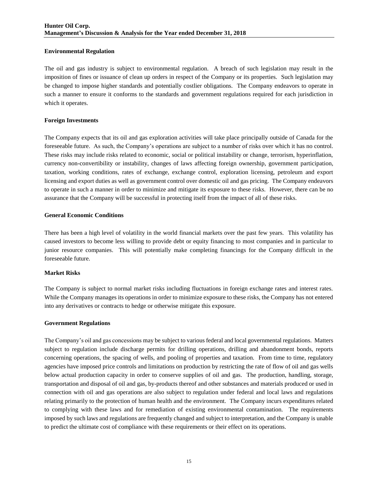## **Environmental Regulation**

The oil and gas industry is subject to environmental regulation. A breach of such legislation may result in the imposition of fines or issuance of clean up orders in respect of the Company or its properties. Such legislation may be changed to impose higher standards and potentially costlier obligations. The Company endeavors to operate in such a manner to ensure it conforms to the standards and government regulations required for each jurisdiction in which it operates.

## **Foreign Investments**

The Company expects that its oil and gas exploration activities will take place principally outside of Canada for the foreseeable future. As such, the Company's operations are subject to a number of risks over which it has no control. These risks may include risks related to economic, social or political instability or change, terrorism, hyperinflation, currency non-convertibility or instability, changes of laws affecting foreign ownership, government participation, taxation, working conditions, rates of exchange, exchange control, exploration licensing, petroleum and export licensing and export duties as well as government control over domestic oil and gas pricing. The Company endeavors to operate in such a manner in order to minimize and mitigate its exposure to these risks. However, there can be no assurance that the Company will be successful in protecting itself from the impact of all of these risks.

## **General Economic Conditions**

There has been a high level of volatility in the world financial markets over the past few years. This volatility has caused investors to become less willing to provide debt or equity financing to most companies and in particular to junior resource companies. This will potentially make completing financings for the Company difficult in the foreseeable future.

## **Market Risks**

The Company is subject to normal market risks including fluctuations in foreign exchange rates and interest rates. While the Company manages its operations in order to minimize exposure to these risks, the Company has not entered into any derivatives or contracts to hedge or otherwise mitigate this exposure.

## **Government Regulations**

The Company's oil and gas concessions may be subject to various federal and local governmental regulations. Matters subject to regulation include discharge permits for drilling operations, drilling and abandonment bonds, reports concerning operations, the spacing of wells, and pooling of properties and taxation. From time to time, regulatory agencies have imposed price controls and limitations on production by restricting the rate of flow of oil and gas wells below actual production capacity in order to conserve supplies of oil and gas. The production, handling, storage, transportation and disposal of oil and gas, by-products thereof and other substances and materials produced or used in connection with oil and gas operations are also subject to regulation under federal and local laws and regulations relating primarily to the protection of human health and the environment. The Company incurs expenditures related to complying with these laws and for remediation of existing environmental contamination. The requirements imposed by such laws and regulations are frequently changed and subject to interpretation, and the Company is unable to predict the ultimate cost of compliance with these requirements or their effect on its operations.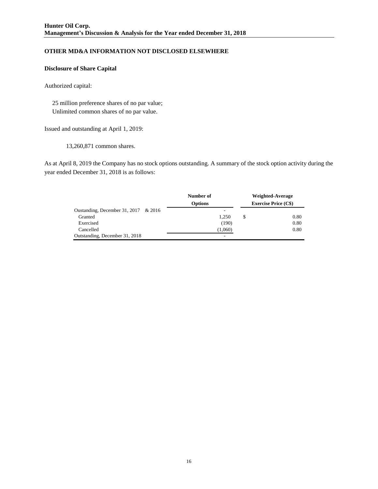# **OTHER MD&A INFORMATION NOT DISCLOSED ELSEWHERE**

## **Disclosure of Share Capital**

Authorized capital:

 25 million preference shares of no par value; Unlimited common shares of no par value.

Issued and outstanding at April 1, 2019:

13,260,871 common shares.

As at April 8, 2019 the Company has no stock options outstanding. A summary of the stock option activity during the year ended December 31, 2018 is as follows:

|                                      | Number of      |   | Weighted-Average            |
|--------------------------------------|----------------|---|-----------------------------|
|                                      | <b>Options</b> |   | <b>Exercise Price (C\$)</b> |
| Oustanding, December 31, 2017 & 2016 |                |   |                             |
| Granted                              | 1.250          | S | 0.80                        |
| Exercised                            | (190)          |   | 0.80                        |
| Cancelled                            | (1,060)        |   | 0.80                        |
| Outstanding, December 31, 2018       | -              |   |                             |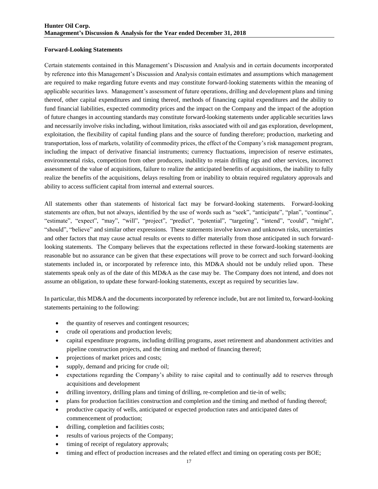#### **Forward-Looking Statements**

Certain statements contained in this Management's Discussion and Analysis and in certain documents incorporated by reference into this Management's Discussion and Analysis contain estimates and assumptions which management are required to make regarding future events and may constitute forward-looking statements within the meaning of applicable securities laws. Management's assessment of future operations, drilling and development plans and timing thereof, other capital expenditures and timing thereof, methods of financing capital expenditures and the ability to fund financial liabilities, expected commodity prices and the impact on the Company and the impact of the adoption of future changes in accounting standards may constitute forward-looking statements under applicable securities laws and necessarily involve risks including, without limitation, risks associated with oil and gas exploration, development, exploitation, the flexibility of capital funding plans and the source of funding therefore; production, marketing and transportation, loss of markets, volatility of commodity prices, the effect of the Company's risk management program, including the impact of derivative financial instruments; currency fluctuations, imprecision of reserve estimates, environmental risks, competition from other producers, inability to retain drilling rigs and other services, incorrect assessment of the value of acquisitions, failure to realize the anticipated benefits of acquisitions, the inability to fully realize the benefits of the acquisitions, delays resulting from or inability to obtain required regulatory approvals and ability to access sufficient capital from internal and external sources.

All statements other than statements of historical fact may be forward-looking statements. Forward-looking statements are often, but not always, identified by the use of words such as "seek", "anticipate", "plan", "continue", "estimate", "expect", "may", "will", "project", "predict", "potential", "targeting", "intend", "could", "might", "should", "believe" and similar other expressions. These statements involve known and unknown risks, uncertainties and other factors that may cause actual results or events to differ materially from those anticipated in such forwardlooking statements. The Company believes that the expectations reflected in these forward-looking statements are reasonable but no assurance can be given that these expectations will prove to be correct and such forward-looking statements included in, or incorporated by reference into, this MD&A should not be unduly relied upon. These statements speak only as of the date of this MD&A as the case may be. The Company does not intend, and does not assume an obligation, to update these forward-looking statements, except as required by securities law.

In particular, this MD&A and the documents incorporated by reference include, but are not limited to, forward-looking statements pertaining to the following:

- the quantity of reserves and contingent resources;
- crude oil operations and production levels;
- capital expenditure programs, including drilling programs, asset retirement and abandonment activities and pipeline construction projects, and the timing and method of financing thereof;
- projections of market prices and costs;
- supply, demand and pricing for crude oil;
- expectations regarding the Company's ability to raise capital and to continually add to reserves through acquisitions and development
- drilling inventory, drilling plans and timing of drilling, re-completion and tie-in of wells;
- plans for production facilities construction and completion and the timing and method of funding thereof;
- productive capacity of wells, anticipated or expected production rates and anticipated dates of commencement of production;
- drilling, completion and facilities costs;
- results of various projects of the Company;
- timing of receipt of regulatory approvals;
- timing and effect of production increases and the related effect and timing on operating costs per BOE;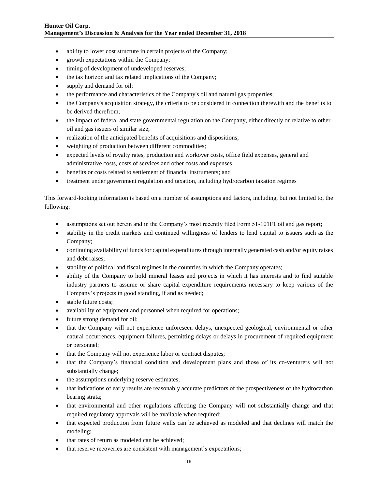- ability to lower cost structure in certain projects of the Company;
- growth expectations within the Company;
- timing of development of undeveloped reserves;
- the tax horizon and tax related implications of the Company;
- supply and demand for oil;
- the performance and characteristics of the Company's oil and natural gas properties;
- the Company's acquisition strategy, the criteria to be considered in connection therewith and the benefits to be derived therefrom;
- the impact of federal and state governmental regulation on the Company, either directly or relative to other oil and gas issuers of similar size;
- realization of the anticipated benefits of acquisitions and dispositions;
- weighting of production between different commodities;
- expected levels of royalty rates, production and workover costs, office field expenses, general and administrative costs, costs of services and other costs and expenses
- benefits or costs related to settlement of financial instruments; and
- treatment under government regulation and taxation, including hydrocarbon taxation regimes

This forward-looking information is based on a number of assumptions and factors, including, but not limited to, the following:

- assumptions set out herein and in the Company's most recently filed Form 51-101F1 oil and gas report;
- stability in the credit markets and continued willingness of lenders to lend capital to issuers such as the Company;
- continuing availability of funds for capital expenditures through internally generated cash and/or equity raises and debt raises;
- stability of political and fiscal regimes in the countries in which the Company operates;
- ability of the Company to hold mineral leases and projects in which it has interests and to find suitable industry partners to assume or share capital expenditure requirements necessary to keep various of the Company's projects in good standing, if and as needed;
- stable future costs;
- availability of equipment and personnel when required for operations;
- future strong demand for oil;
- that the Company will not experience unforeseen delays, unexpected geological, environmental or other natural occurrences, equipment failures, permitting delays or delays in procurement of required equipment or personnel;
- that the Company will not experience labor or contract disputes;
- that the Company's financial condition and development plans and those of its co-venturers will not substantially change;
- the assumptions underlying reserve estimates;
- that indications of early results are reasonably accurate predictors of the prospectiveness of the hydrocarbon bearing strata;
- that environmental and other regulations affecting the Company will not substantially change and that required regulatory approvals will be available when required;
- that expected production from future wells can be achieved as modeled and that declines will match the modeling;
- that rates of return as modeled can be achieved;
- that reserve recoveries are consistent with management's expectations;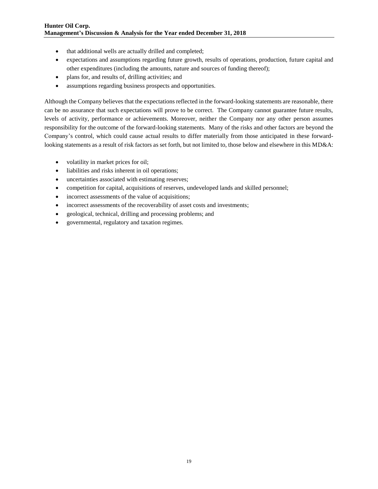- that additional wells are actually drilled and completed;
- expectations and assumptions regarding future growth, results of operations, production, future capital and other expenditures (including the amounts, nature and sources of funding thereof);
- plans for, and results of, drilling activities; and
- assumptions regarding business prospects and opportunities.

Although the Company believes that the expectations reflected in the forward-looking statements are reasonable, there can be no assurance that such expectations will prove to be correct. The Company cannot guarantee future results, levels of activity, performance or achievements. Moreover, neither the Company nor any other person assumes responsibility for the outcome of the forward-looking statements. Many of the risks and other factors are beyond the Company's control, which could cause actual results to differ materially from those anticipated in these forwardlooking statements as a result of risk factors as set forth, but not limited to, those below and elsewhere in this MD&A:

- volatility in market prices for oil;
- liabilities and risks inherent in oil operations;
- uncertainties associated with estimating reserves;
- competition for capital, acquisitions of reserves, undeveloped lands and skilled personnel;
- incorrect assessments of the value of acquisitions;
- incorrect assessments of the recoverability of asset costs and investments;
- geological, technical, drilling and processing problems; and
- governmental, regulatory and taxation regimes.